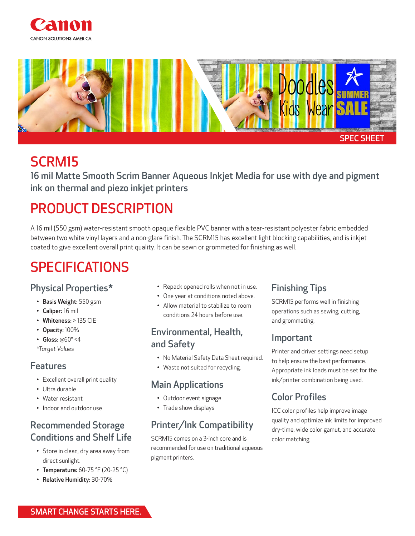



## SCRM15

16 mil Matte Smooth Scrim Banner Aqueous Inkjet Media for use with dye and pigment ink on thermal and piezo inkjet printers

# PRODUCT DESCRIPTION

A 16 mil (550 gsm) water-resistant smooth opaque flexible PVC banner with a tear-resistant polyester fabric embedded between two white vinyl layers and a non-glare finish. The SCRM15 has excellent light blocking capabilities, and is inkjet coated to give excellent overall print quality. It can be sewn or grommeted for finishing as well.

# **SPECIFICATIONS**

## Physical Properties\*

- Basis Weight: 550 gsm
- Caliper: 16 mil
- Whiteness: > 135 CIE
- Opacity: 100%
- Gloss:  $@60° <4$
- *\*Target Values*

#### Features

- Excellent overall print quality
- Ultra durable
- Water resistant
- Indoor and outdoor use

## Recommended Storage Conditions and Shelf Life

- Store in clean, dry area away from direct sunlight.
- Temperature: 60-75 °F (20-25 °C)
- Relative Humidity: 30-70%
- Repack opened rolls when not in use.
- One year at conditions noted above.
- Allow material to stabilize to room conditions 24 hours before use.

#### Environmental, Health, and Safety

- No Material Safety Data Sheet required.
- Waste not suited for recycling.

## Main Applications

- Outdoor event signage
- Trade show displays

## Printer/Ink Compatibility

SCRM15 comes on a 3-inch core and is recommended for use on traditional aqueous pigment printers.

## Finishing Tips

SCRM15 performs well in finishing operations such as sewing, cutting, and grommeting.

## Important

Printer and driver settings need setup to help ensure the best performance. Appropriate ink loads must be set for the ink/printer combination being used.

## Color Profiles

ICC color profiles help improve image quality and optimize ink limits for improved dry-time, wide color gamut, and accurate color matching.